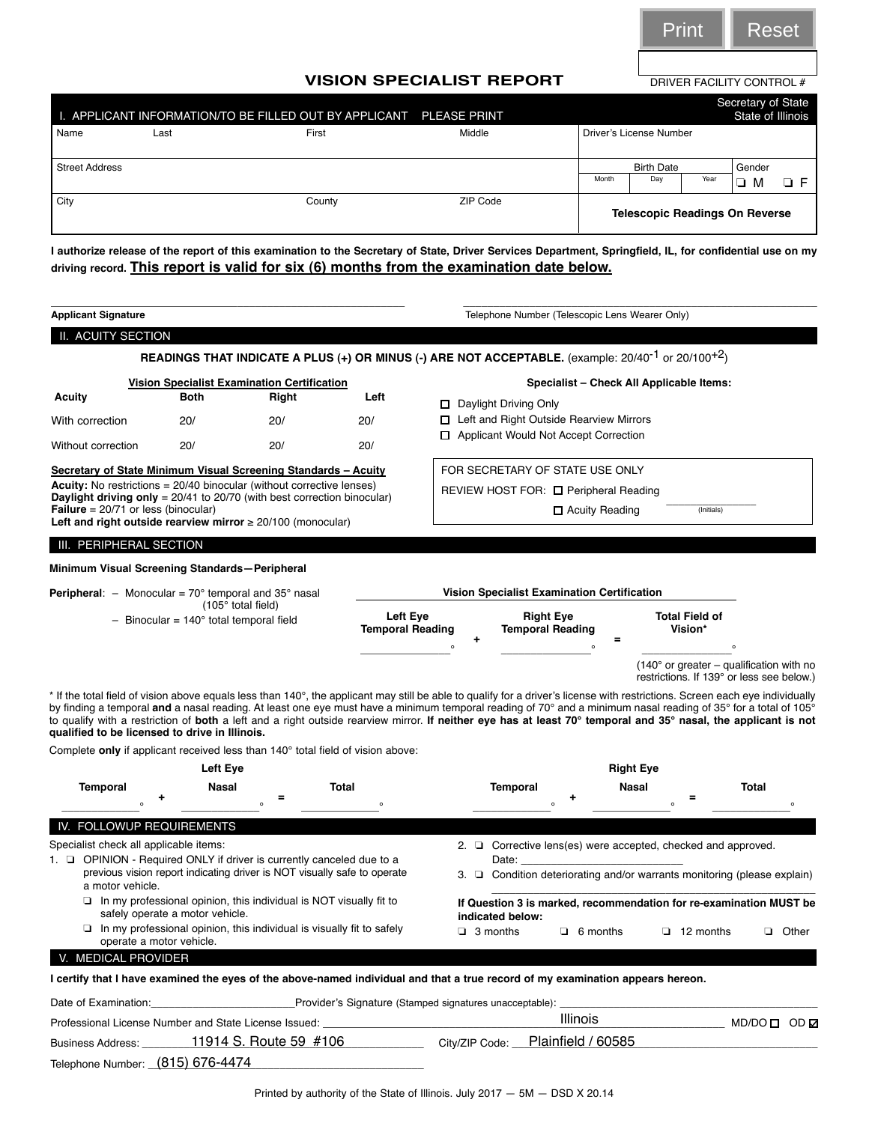

## **VISION SPECIALIST REPORT**

| Name                  | Last | APPLICANT INFORMATION/TO BE FILLED OUT BY APPLICANT PLEASE PRINT<br>First                | Middle   | Secretary of State<br>State of Illinois<br>Driver's License Number                                                                                       |
|-----------------------|------|------------------------------------------------------------------------------------------|----------|----------------------------------------------------------------------------------------------------------------------------------------------------------|
|                       |      |                                                                                          |          |                                                                                                                                                          |
| <b>Street Address</b> |      |                                                                                          |          | Gender<br><b>Birth Date</b><br>Month<br>Dav<br>Year<br>$\Box$ F<br>м                                                                                     |
| City                  |      | County                                                                                   | ZIP Code | <b>Telescopic Readings On Reverse</b>                                                                                                                    |
|                       |      | driving record. This report is valid for six (6) months from the examination date below. |          | I authorize release of the report of this examination to the Secretary of State, Driver Services Department, Springfield, IL, for confidential use on my |

|                                                                                                                                                |                          |                                                                                                          |       |              |                                     |                                                                                                                                                                                                                                                                                                                                  |                                                                                                                                                                                                                                |                                          |                          | <b>Print</b>                                                                          | Reset                      |         |
|------------------------------------------------------------------------------------------------------------------------------------------------|--------------------------|----------------------------------------------------------------------------------------------------------|-------|--------------|-------------------------------------|----------------------------------------------------------------------------------------------------------------------------------------------------------------------------------------------------------------------------------------------------------------------------------------------------------------------------------|--------------------------------------------------------------------------------------------------------------------------------------------------------------------------------------------------------------------------------|------------------------------------------|--------------------------|---------------------------------------------------------------------------------------|----------------------------|---------|
|                                                                                                                                                |                          |                                                                                                          |       |              |                                     |                                                                                                                                                                                                                                                                                                                                  |                                                                                                                                                                                                                                |                                          |                          |                                                                                       |                            |         |
|                                                                                                                                                |                          |                                                                                                          |       |              |                                     | <b>VISION SPECIALIST REPORT</b>                                                                                                                                                                                                                                                                                                  |                                                                                                                                                                                                                                |                                          |                          | DRIVER FACILITY CONTROL #                                                             |                            |         |
|                                                                                                                                                |                          |                                                                                                          |       |              |                                     |                                                                                                                                                                                                                                                                                                                                  |                                                                                                                                                                                                                                |                                          |                          |                                                                                       | Secretary of State         |         |
| I. APPLICANT INFORMATION/TO BE FILLED OUT BY APPLICANT<br>Name                                                                                 | Last                     |                                                                                                          | First |              |                                     | <b>PLEASE PRINT</b><br>Middle                                                                                                                                                                                                                                                                                                    |                                                                                                                                                                                                                                |                                          | Driver's License Number  |                                                                                       | State of Illinois          |         |
|                                                                                                                                                |                          |                                                                                                          |       |              |                                     |                                                                                                                                                                                                                                                                                                                                  |                                                                                                                                                                                                                                |                                          |                          |                                                                                       |                            |         |
| <b>Street Address</b>                                                                                                                          |                          |                                                                                                          |       |              |                                     |                                                                                                                                                                                                                                                                                                                                  |                                                                                                                                                                                                                                | Month                                    | <b>Birth Date</b><br>Day | Year                                                                                  | Gender<br>O M              | ОF      |
| City                                                                                                                                           |                          |                                                                                                          |       | County       |                                     | ZIP Code                                                                                                                                                                                                                                                                                                                         |                                                                                                                                                                                                                                |                                          |                          | <b>Telescopic Readings On Reverse</b>                                                 |                            |         |
|                                                                                                                                                |                          |                                                                                                          |       |              |                                     | I authorize release of the report of this examination to the Secretary of State, Driver Services Department, Springfield, IL, for confidential use on my                                                                                                                                                                         |                                                                                                                                                                                                                                |                                          |                          |                                                                                       |                            |         |
|                                                                                                                                                |                          |                                                                                                          |       |              |                                     | driving record. This report is valid for six (6) months from the examination date below.                                                                                                                                                                                                                                         |                                                                                                                                                                                                                                |                                          |                          |                                                                                       |                            |         |
| <b>Applicant Signature</b>                                                                                                                     |                          |                                                                                                          |       |              |                                     |                                                                                                                                                                                                                                                                                                                                  | Telephone Number (Telescopic Lens Wearer Only)                                                                                                                                                                                 |                                          |                          |                                                                                       |                            |         |
| II. ACUITY SECTION                                                                                                                             |                          |                                                                                                          |       |              |                                     |                                                                                                                                                                                                                                                                                                                                  |                                                                                                                                                                                                                                |                                          |                          |                                                                                       |                            |         |
|                                                                                                                                                |                          |                                                                                                          |       |              |                                     | READINGS THAT INDICATE A PLUS (+) OR MINUS (-) ARE NOT ACCEPTABLE. (example: 20/40 <sup>-1</sup> or 20/100 <sup>+2</sup> )                                                                                                                                                                                                       |                                                                                                                                                                                                                                |                                          |                          |                                                                                       |                            |         |
|                                                                                                                                                |                          |                                                                                                          |       |              |                                     |                                                                                                                                                                                                                                                                                                                                  |                                                                                                                                                                                                                                |                                          |                          |                                                                                       |                            |         |
| <b>Acuity</b>                                                                                                                                  |                          | <b>Vision Specialist Examination Certification</b><br>Both                                               | Right | Left         |                                     |                                                                                                                                                                                                                                                                                                                                  |                                                                                                                                                                                                                                | Specialist - Check All Applicable Items: |                          |                                                                                       |                            |         |
| With correction                                                                                                                                | 20/                      |                                                                                                          | 20/   | 20/          |                                     | □ Daylight Driving Only<br>□ Left and Right Outside Rearview Mirrors                                                                                                                                                                                                                                                             |                                                                                                                                                                                                                                |                                          |                          |                                                                                       |                            |         |
|                                                                                                                                                |                          |                                                                                                          |       |              |                                     | □ Applicant Would Not Accept Correction                                                                                                                                                                                                                                                                                          |                                                                                                                                                                                                                                |                                          |                          |                                                                                       |                            |         |
| Without correction                                                                                                                             |                          | 20/                                                                                                      | 20/   | 20/          |                                     |                                                                                                                                                                                                                                                                                                                                  |                                                                                                                                                                                                                                |                                          |                          |                                                                                       |                            |         |
| Secretary of State Minimum Visual Screening Standards - Acuity<br><b>Acuity:</b> No restrictions = 20/40 binocular (without corrective lenses) |                          |                                                                                                          |       |              |                                     | FOR SECRETARY OF STATE USE ONLY                                                                                                                                                                                                                                                                                                  |                                                                                                                                                                                                                                |                                          |                          |                                                                                       |                            |         |
| <b>Daylight driving only</b> = $20/41$ to $20/70$ (with best correction binocular)<br><b>Failure</b> = $20/71$ or less (binocular)             |                          |                                                                                                          |       |              |                                     | REVIEW HOST FOR: Q Peripheral Reading                                                                                                                                                                                                                                                                                            |                                                                                                                                                                                                                                | $\Box$ Acuity Reading                    |                          | (Initials)                                                                            |                            |         |
| Left and right outside rearview mirror $\geq 20/100$ (monocular)                                                                               |                          |                                                                                                          |       |              |                                     |                                                                                                                                                                                                                                                                                                                                  |                                                                                                                                                                                                                                |                                          |                          |                                                                                       |                            |         |
| PERIPHERAL SECTION<br>Ш.                                                                                                                       |                          |                                                                                                          |       |              |                                     |                                                                                                                                                                                                                                                                                                                                  |                                                                                                                                                                                                                                |                                          |                          |                                                                                       |                            |         |
| Minimum Visual Screening Standards-Peripheral                                                                                                  |                          |                                                                                                          |       |              |                                     |                                                                                                                                                                                                                                                                                                                                  |                                                                                                                                                                                                                                |                                          |                          |                                                                                       |                            |         |
| <b>Peripheral:</b> $-$ Monocular = 70 $^{\circ}$ temporal and 35 $^{\circ}$ nasal                                                              |                          |                                                                                                          |       |              |                                     | <b>Vision Specialist Examination Certification</b>                                                                                                                                                                                                                                                                               |                                                                                                                                                                                                                                |                                          |                          |                                                                                       |                            |         |
|                                                                                                                                                |                          | (105° total field)<br>- Binocular = $140^\circ$ total temporal field                                     |       |              | Left Eye<br><b>Temporal Reading</b> |                                                                                                                                                                                                                                                                                                                                  | <b>Right Eye</b><br><b>Temporal Reading</b>                                                                                                                                                                                    |                                          |                          | <b>Total Field of</b><br>Vision*                                                      |                            |         |
|                                                                                                                                                |                          |                                                                                                          |       |              |                                     | ٠<br>$\circ$                                                                                                                                                                                                                                                                                                                     |                                                                                                                                                                                                                                | Ξ<br>$\Omega$                            |                          |                                                                                       | $\circ$                    |         |
|                                                                                                                                                |                          |                                                                                                          |       |              |                                     |                                                                                                                                                                                                                                                                                                                                  |                                                                                                                                                                                                                                |                                          |                          | (140° or greater - qualification with no<br>restrictions. If 139° or less see below.) |                            |         |
|                                                                                                                                                |                          |                                                                                                          |       |              |                                     | * If the total field of vision above equals less than 140°, the applicant may still be able to qualify for a driver's license with restrictions. Screen each eye individually                                                                                                                                                    |                                                                                                                                                                                                                                |                                          |                          |                                                                                       |                            |         |
| qualified to be licensed to drive in Illinois.                                                                                                 |                          |                                                                                                          |       |              |                                     | by finding a temporal and a nasal reading. At least one eye must have a minimum temporal reading of 70° and a minimum nasal reading of 35° for a total of 105°<br>to qualify with a restriction of both a left and a right outside rearview mirror. If neither eye has at least 70° temporal and 35° nasal, the applicant is not |                                                                                                                                                                                                                                |                                          |                          |                                                                                       |                            |         |
| Complete only if applicant received less than 140° total field of vision above:                                                                |                          |                                                                                                          |       |              |                                     |                                                                                                                                                                                                                                                                                                                                  |                                                                                                                                                                                                                                |                                          |                          |                                                                                       |                            |         |
|                                                                                                                                                |                          | Left Eye                                                                                                 |       |              |                                     |                                                                                                                                                                                                                                                                                                                                  |                                                                                                                                                                                                                                |                                          | <b>Right Eye</b>         |                                                                                       |                            |         |
| <b>Temporal</b>                                                                                                                                |                          | Nasal                                                                                                    |       | <b>Total</b> | $\circ$                             | <b>Temporal</b>                                                                                                                                                                                                                                                                                                                  |                                                                                                                                                                                                                                |                                          | Nasal                    |                                                                                       | <b>Total</b>               |         |
| FOLLOWUP REQUIREMENTS                                                                                                                          |                          |                                                                                                          |       |              |                                     |                                                                                                                                                                                                                                                                                                                                  |                                                                                                                                                                                                                                |                                          |                          |                                                                                       |                            |         |
| Specialist check all applicable items:                                                                                                         |                          |                                                                                                          |       |              |                                     | 2. $\Box$ Corrective lens(es) were accepted, checked and approved.                                                                                                                                                                                                                                                               |                                                                                                                                                                                                                                |                                          |                          |                                                                                       |                            |         |
| 1. <b>D</b> OPINION - Required ONLY if driver is currently canceled due to a                                                                   |                          |                                                                                                          |       |              |                                     |                                                                                                                                                                                                                                                                                                                                  | Date: the contract of the contract of the contract of the contract of the contract of the contract of the contract of the contract of the contract of the contract of the contract of the contract of the contract of the cont |                                          |                          |                                                                                       |                            |         |
| a motor vehicle.                                                                                                                               |                          | previous vision report indicating driver is NOT visually safe to operate                                 |       |              |                                     | 3. • Condition deteriorating and/or warrants monitoring (please explain)                                                                                                                                                                                                                                                         |                                                                                                                                                                                                                                |                                          |                          |                                                                                       |                            |         |
|                                                                                                                                                |                          | $\Box$ In my professional opinion, this individual is NOT visually fit to                                |       |              |                                     | If Question 3 is marked, recommendation for re-examination MUST be                                                                                                                                                                                                                                                               |                                                                                                                                                                                                                                |                                          |                          |                                                                                       |                            |         |
|                                                                                                                                                |                          | safely operate a motor vehicle.<br>In my professional opinion, this individual is visually fit to safely |       |              |                                     | indicated below:<br>$\Box$ 3 months                                                                                                                                                                                                                                                                                              |                                                                                                                                                                                                                                | $\Box$ 6 months                          |                          | $\Box$ 12 months                                                                      |                            | □ Other |
|                                                                                                                                                | operate a motor vehicle. |                                                                                                          |       |              |                                     |                                                                                                                                                                                                                                                                                                                                  |                                                                                                                                                                                                                                |                                          |                          |                                                                                       |                            |         |
| V. MEDICAL PROVIDER                                                                                                                            |                          |                                                                                                          |       |              |                                     | I certify that I have examined the eyes of the above-named individual and that a true record of my examination appears hereon.                                                                                                                                                                                                   |                                                                                                                                                                                                                                |                                          |                          |                                                                                       |                            |         |
|                                                                                                                                                |                          |                                                                                                          |       |              |                                     |                                                                                                                                                                                                                                                                                                                                  |                                                                                                                                                                                                                                |                                          |                          |                                                                                       |                            |         |
| Date of Examination:<br>Professional License Number and State License Issued: __________________________                                       |                          |                                                                                                          |       |              |                                     | <b>Example 19 Provider's Signature (Stamped signatures unacceptable):</b>                                                                                                                                                                                                                                                        |                                                                                                                                                                                                                                | Illinois                                 |                          |                                                                                       | MD/DO <b>O</b> OD <b>Ø</b> |         |
| Business Address: _______                                                                                                                      |                          |                                                                                                          |       |              |                                     | 11914 S. Route 59 #106 City/ZIP Code: Plainfield / 60585                                                                                                                                                                                                                                                                         |                                                                                                                                                                                                                                |                                          |                          |                                                                                       |                            |         |
|                                                                                                                                                |                          | Telephone Number: (815) 676-4474                                                                         |       |              |                                     |                                                                                                                                                                                                                                                                                                                                  |                                                                                                                                                                                                                                |                                          |                          |                                                                                       |                            |         |